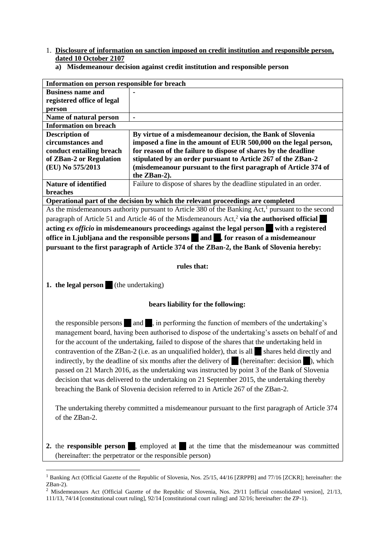- 1. **Disclosure of information on sanction imposed on credit institution and responsible person, dated 10 October 2107**
	- **a) Misdemeanour decision against credit institution and responsible person**

| Information on person responsible for breach |                                                                      |
|----------------------------------------------|----------------------------------------------------------------------|
| <b>Business name and</b>                     |                                                                      |
| registered office of legal                   |                                                                      |
| person                                       |                                                                      |
| Name of natural person                       | $\blacksquare$                                                       |
| <b>Information on breach</b>                 |                                                                      |
| <b>Description of</b>                        | By virtue of a misdemeanour decision, the Bank of Slovenia           |
| circumstances and                            | imposed a fine in the amount of EUR 500,000 on the legal person,     |
| conduct entailing breach                     | for reason of the failure to dispose of shares by the deadline       |
| of ZBan-2 or Regulation                      | stipulated by an order pursuant to Article 267 of the ZBan-2         |
| (EU) No 575/2013                             | (misdemeanour pursuant to the first paragraph of Article 374 of      |
|                                              | the ZBan-2).                                                         |
| <b>Nature of identified</b>                  | Failure to dispose of shares by the deadline stipulated in an order. |
| <b>breaches</b>                              |                                                                      |
|                                              |                                                                      |

**Operational part of the decision by which the relevant proceedings are completed** As the misdemeanours authority pursuant to Article 380 of the Banking Act,<sup>1</sup> pursuant to the second paragraph of Article 51 and Article 46 of the Misdemeanours Act,<sup>2</sup> via the authorised official **acting** *ex officio* **in misdemeanours proceedings against the legal person with a registered office in Ljubljana and the responsible persons and**  $\bullet$ **, for reason of a misdemeanour pursuant to the first paragraph of Article 374 of the ZBan-2, the Bank of Slovenia hereby:**

## **rules that:**

**1. the legal person** (the undertaking)

-

## **bears liability for the following:**

the responsible persons and , in performing the function of members of the undertaking's management board, having been authorised to dispose of the undertaking's assets on behalf of and for the account of the undertaking, failed to dispose of the shares that the undertaking held in contravention of the ZBan-2 (i.e. as an unqualified holder), that is all  $\blacksquare$  shares held directly and indirectly, by the deadline of six months after the delivery of  $\blacksquare$  (hereinafter: decision  $\blacksquare$ ), which passed on 21 March 2016, as the undertaking was instructed by point 3 of the Bank of Slovenia decision that was delivered to the undertaking on 21 September 2015, the undertaking thereby breaching the Bank of Slovenia decision referred to in Article 267 of the ZBan-2.

The undertaking thereby committed a misdemeanour pursuant to the first paragraph of Article 374 of the ZBan-2.

**2.** the **responsible person**, employed at  $\blacksquare$  at the time that the misdemeanour was committed (hereinafter: the perpetrator or the responsible person)

<sup>&</sup>lt;sup>1</sup> Banking Act (Official Gazette of the Republic of Slovenia, Nos. 25/15, 44/16 [ZRPPB] and 77/16 [ZCKR]; hereinafter: the ZBan-2).

<sup>&</sup>lt;sup>2</sup> Misdemeanours Act (Official Gazette of the Republic of Slovenia, Nos. [29/11](http://www.uradni-list.si/1/objava.jsp?sop=2011-01-1376) [official consolidated version], [21/13,](http://www.uradni-list.si/1/objava.jsp?sop=2013-01-0786)

[<sup>111/13,</sup>](http://www.uradni-list.si/1/objava.jsp?sop=2013-01-4126) [74/14](http://www.uradni-list.si/1/objava.jsp?sop=2014-01-3062) [constitutional court ruling], [92/14](http://www.uradni-list.si/1/objava.jsp?sop=2014-01-3705) [constitutional court ruling] and 32/16; hereinafter: the ZP-1).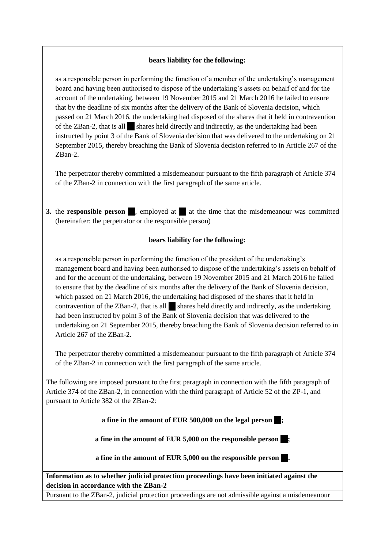## **bears liability for the following:**

as a responsible person in performing the function of a member of the undertaking's management board and having been authorised to dispose of the undertaking's assets on behalf of and for the account of the undertaking, between 19 November 2015 and 21 March 2016 he failed to ensure that by the deadline of six months after the delivery of the Bank of Slovenia decision, which passed on 21 March 2016, the undertaking had disposed of the shares that it held in contravention of the ZBan-2, that is all shares held directly and indirectly, as the undertaking had been instructed by point 3 of the Bank of Slovenia decision that was delivered to the undertaking on 21 September 2015, thereby breaching the Bank of Slovenia decision referred to in Article 267 of the ZBan-2.

The perpetrator thereby committed a misdemeanour pursuant to the fifth paragraph of Article 374 of the ZBan-2 in connection with the first paragraph of the same article.

**3.** the **responsible person**, employed at at the time that the misdemeanour was committed (hereinafter: the perpetrator or the responsible person)

## **bears liability for the following:**

as a responsible person in performing the function of the president of the undertaking's management board and having been authorised to dispose of the undertaking's assets on behalf of and for the account of the undertaking, between 19 November 2015 and 21 March 2016 he failed to ensure that by the deadline of six months after the delivery of the Bank of Slovenia decision, which passed on 21 March 2016, the undertaking had disposed of the shares that it held in contravention of the  $ZBan-2$ , that is all  $\Box$  shares held directly and indirectly, as the undertaking had been instructed by point 3 of the Bank of Slovenia decision that was delivered to the undertaking on 21 September 2015, thereby breaching the Bank of Slovenia decision referred to in Article 267 of the ZBan-2.

The perpetrator thereby committed a misdemeanour pursuant to the fifth paragraph of Article 374 of the ZBan-2 in connection with the first paragraph of the same article.

The following are imposed pursuant to the first paragraph in connection with the fifth paragraph of Article 374 of the ZBan-2, in connection with the third paragraph of Article 52 of the ZP-1, and pursuant to Article 382 of the ZBan-2:

**a fine in the amount of EUR 500,000 on the legal person |** 

**a** fine in the amount of EUR 5,000 on the responsible person  $\blacksquare$ ;

**a** fine in the amount of EUR 5,000 on the responsible person

**Information as to whether judicial protection proceedings have been initiated against the decision in accordance with the ZBan-2**

Pursuant to the ZBan-2, judicial protection proceedings are not admissible against a misdemeanour